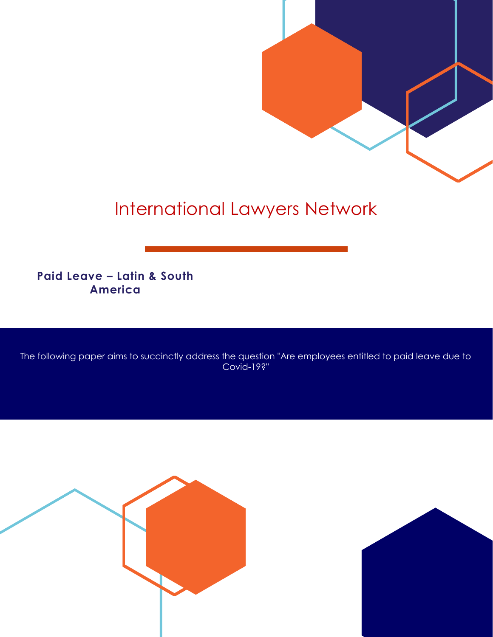

# International Lawyers Network

**Paid Leave – Latin & South America**

The following paper aims to succinctly address the question "Are employees entitled to paid leave due to Covid-19?"



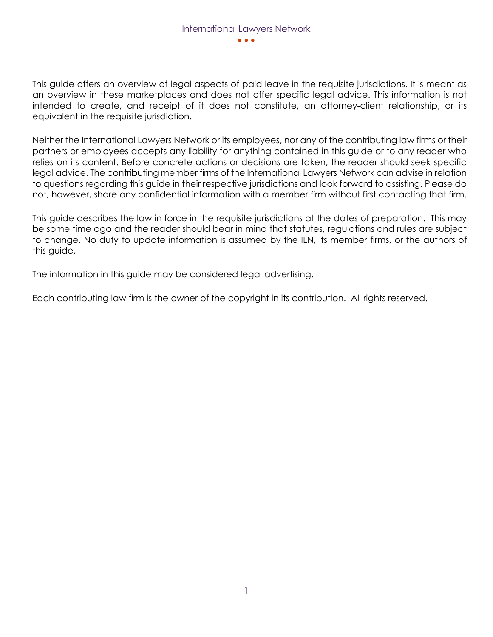This guide offers an overview of legal aspects of paid leave in the requisite jurisdictions. It is meant as an overview in these marketplaces and does not offer specific legal advice. This information is not intended to create, and receipt of it does not constitute, an attorney-client relationship, or its equivalent in the requisite jurisdiction.

Neither the International Lawyers Network or its employees, nor any of the contributing law firms or their partners or employees accepts any liability for anything contained in this guide or to any reader who relies on its content. Before concrete actions or decisions are taken, the reader should seek specific legal advice. The contributing member firms of the International Lawyers Network can advise in relation to questions regarding this guide in their respective jurisdictions and look forward to assisting. Please do not, however, share any confidential information with a member firm without first contacting that firm.

This guide describes the law in force in the requisite jurisdictions at the dates of preparation. This may be some time ago and the reader should bear in mind that statutes, regulations and rules are subject to change. No duty to update information is assumed by the ILN, its member firms, or the authors of this guide.

The information in this guide may be considered legal advertising.

Each contributing law firm is the owner of the copyright in its contribution. All rights reserved.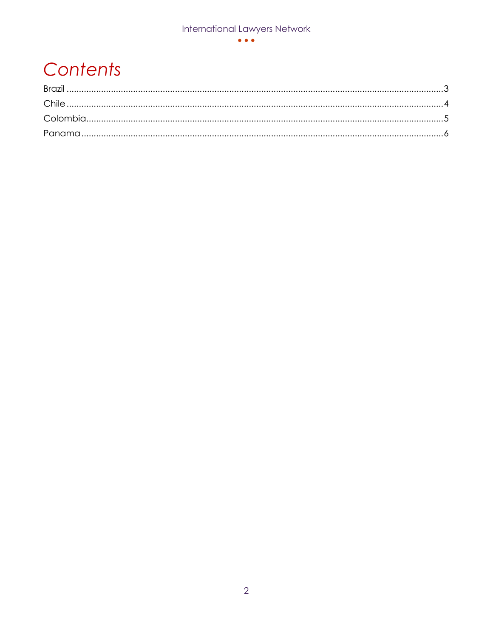### $\bullet\bullet\bullet$

# Contents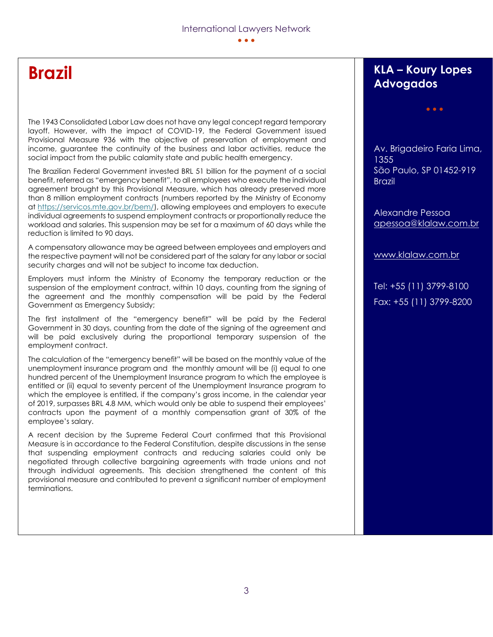## **Brazil**

The 1943 Consolidated Labor Law does not have any legal concept regard temporary layoff. However, with the impact of COVID-19, the Federal Government issued Provisional Measure 936 with the objective of preservation of employment and income, guarantee the continuity of the business and labor activities, reduce the social impact from the public calamity state and public health emergency.

The Brazilian Federal Government invested BRL 51 billion for the payment of a social benefit, referred as "emergency benefit", to all employees who execute the individual agreement brought by this Provisional Measure, which has already preserved more than 8 million employment contracts (numbers reported by the Ministry of Economy a[t https://servicos.mte.gov.br/bem/\)](https://servicos.mte.gov.br/bem/), allowing employees and employers to execute individual agreements to suspend employment contracts or proportionally reduce the workload and salaries. This suspension may be set for a maximum of 60 days while the reduction is limited to 90 days.

A compensatory allowance may be agreed between employees and employers and the respective payment will not be considered part of the salary for any labor or social security charges and will not be subject to income tax deduction.

Employers must inform the Ministry of Economy the temporary reduction or the suspension of the employment contract, within 10 days, counting from the signing of the agreement and the monthly compensation will be paid by the Federal Government as Emergency Subsidy;

The first installment of the "emergency benefit" will be paid by the Federal Government in 30 days, counting from the date of the signing of the agreement and will be paid exclusively during the proportional temporary suspension of the employment contract.

The calculation of the "emergency benefit" will be based on the monthly value of the unemployment insurance program and the monthly amount will be (i) equal to one hundred percent of the Unemployment Insurance program to which the employee is entitled or (ii) equal to seventy percent of the Unemployment Insurance program to which the employee is entitled, if the company's gross income, in the calendar year of 2019, surpasses BRL 4.8 MM, which would only be able to suspend their employees' contracts upon the payment of a monthly compensation grant of 30% of the employee's salary.

A recent decision by the Supreme Federal Court confirmed that this Provisional Measure is in accordance to the Federal Constitution, despite discussions in the sense that suspending employment contracts and reducing salaries could only be negotiated through collective bargaining agreements with trade unions and not through individual agreements. This decision strengthened the content of this provisional measure and contributed to prevent a significant number of employment terminations.

### **KLA – Koury Lopes Advogados**

• • •

Av. Brigadeiro Faria Lima, 1355 São Paulo, SP 01452-919 **Brazil** 

Alexandre Pessoa [apessoa@klalaw.com.br](mailto:apessoa@klalaw.com.br)

[www.klalaw.com.br](http://www.klalaw.com.br/)

Tel: +55 (11) 3799-8100 Fax: +55 (11) 3799-8200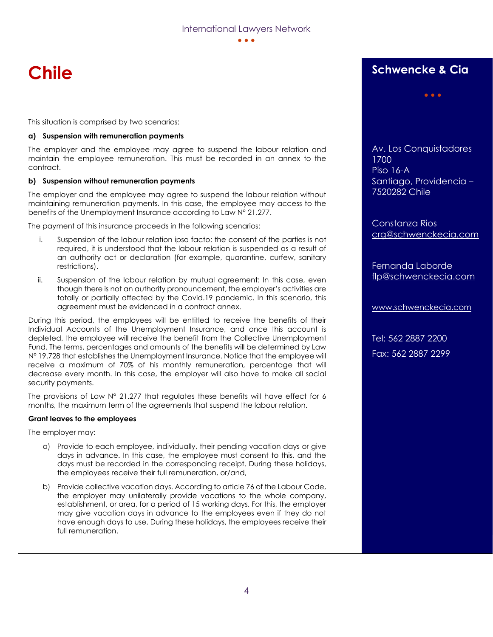## **Chile**

This situation is comprised by two scenarios:

#### **a) Suspension with remuneration payments**

The employer and the employee may agree to suspend the labour relation and maintain the employee remuneration. This must be recorded in an annex to the contract.

#### **b) Suspension without remuneration payments**

The employer and the employee may agree to suspend the labour relation without maintaining remuneration payments. In this case, the employee may access to the benefits of the Unemployment Insurance according to Law N° 21.277.

The payment of this insurance proceeds in the following scenarios:

- i. Suspension of the labour relation ipso facto: the consent of the parties is not required, it is understood that the labour relation is suspended as a result of an authority act or declaration (for example, quarantine, curfew, sanitary restrictions).
- ii. Suspension of the labour relation by mutual agreement: In this case, even though there is not an authority pronouncement, the employer's activities are totally or partially affected by the Covid.19 pandemic. In this scenario, this agreement must be evidenced in a contract annex.

During this period, the employees will be entitled to receive the benefits of their Individual Accounts of the Unemployment Insurance, and once this account is depleted, the employee will receive the benefit from the Collective Unemployment Fund. The terms, percentages and amounts of the benefits will be determined by Law N° 19.728 that establishes the Unemployment Insurance. Notice that the employee will receive a maximum of 70% of his monthly remuneration, percentage that will decrease every month. In this case, the employer will also have to make all social security payments.

The provisions of Law  $N^{\circ}$  21.277 that regulates these benefits will have effect for 6 months, the maximum term of the agreements that suspend the labour relation.

#### **Grant leaves to the employees**

The employer may:

- a) Provide to each employee, individually, their pending vacation days or give days in advance. In this case, the employee must consent to this, and the days must be recorded in the corresponding receipt. During these holidays, the employees receive their full remuneration, or/and,
- b) Provide collective vacation days. According to article 76 of the Labour Code, the employer may unilaterally provide vacations to the whole company, establishment, or area, for a period of 15 working days. For this, the employer may give vacation days in advance to the employees even if they do not have enough days to use. During these holidays, the employees receive their full remuneration.

### **Schwencke & Cia**

• • •

Av. Los Conquistadores 1700 Piso 16-A Santiago, Providencia – 7520282 Chile

Constanza Rios [crg@schwenckecia.com](mailto:crg@schwenckecia.com)

Fernanda Laborde [flp@schwenckecia.com](mailto:flp@schwenckecia.com)

[www.schwenckecia.com](http://www.schwenckecia.com/)

Tel: 562 2887 2200 Fax: 562 2887 2299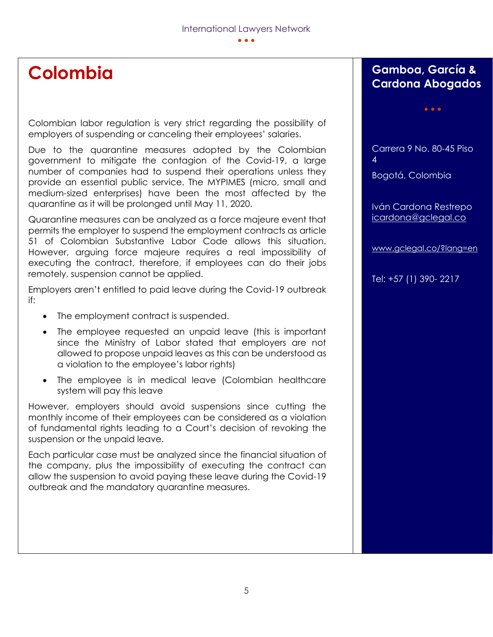# **Colombia**

Colombian labor regulation is very strict regarding the possibility of employers of suspending or canceling their employees' salaries.

Due to the quarantine measures adopted by the Colombian government to mitigate the contagion of the Covid-19, a large number of companies had to suspend their operations unless they provide an essential public service. The MYPIMES (micro, small and medium-sized enterprises) have been the most affected by the quarantine as it will be prolonged until May 11, 2020.

Quarantine measures can be analyzed as a force majeure event that permits the employer to suspend the employment contracts as article 51 of Colombian Substantive Labor Code allows this situation. However, arguing force majeure requires a real impossibility of executing the contract, therefore, if employees can do their jobs remotely, suspension cannot be applied.

Employers aren't entitled to paid leave during the Covid-19 outbreak if:

- The employment contract is suspended.
- The employee requested an unpaid leave (this is important since the Ministry of Labor stated that employers are not allowed to propose unpaid leaves as this can be understood as a violation to the employee's labor rights)
- The employee is in medical leave (Colombian healthcare system will pay this leave

However, employers should avoid suspensions since cutting the monthly income of their employees can be considered as a violation of fundamental rights leading to a Court's decision of revoking the suspension or the unpaid leave.

Each particular case must be analyzed since the financial situation of the company, plus the impossibility of executing the contract can allow the suspension to avoid paying these leave during the Covid-19 outbreak and the mandatory quarantine measures.

### **Gamboa, García & Cardona Abogados**

• • •

Carrera 9 No. 80-45 Piso 4

Bogotá, Colombia

Iván Cardona Restrepo [icardona@gclegal.co](mailto:icardona@gclegal.co)

[www.gclegal.co/?lang=en](http://www.gclegal.co/?lang=en)

Tel: +57 (1) 390- 2217